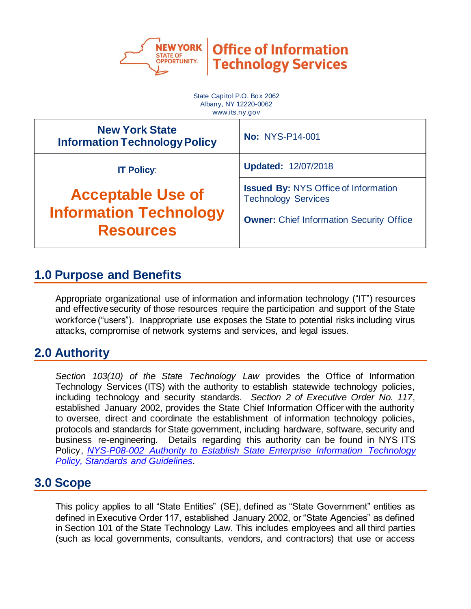

State Capitol P.O. Box 2062 Albany, NY 12220-0062 www.its.ny.gov **New York State Information Technology Policy No: NYS-P14-001 IT Policy**: **Acceptable Use of Information Technology Resources Updated:** 12/07/2018 **Issued By:** NYS Office of Information Technology Services **Owner: Chief Information Security Office** 

# **1.0 Purpose and Benefits**

Appropriate organizational use of information and information technology ("IT") resources and effective security of those resources require the participation and support of the State workforce ("users"). Inappropriate use exposes the State to potential risks including virus attacks, compromise of network systems and services, and legal issues.

# **2.0 Authority**

*Section 103(10) of the State Technology Law* provides the Office of Information Technology Services (ITS) with the authority to establish statewide technology policies, including technology and security standards. *Section 2 of Executive Order No. 117*, established January 2002, provides the State Chief Information Officer with the authority to oversee, direct and coordinate the establishment of information technology policies, protocols and standards for State government, including hardware, software, security and business re-engineering. Details regarding this authority can be found in NYS ITS Policy, *[NYS-P08-002 Authority to Establish State Enterprise Information Technology](https://its.ny.gov/document/authority-establish-state-enterprise-information-technology-it-policy-standards-and-guidelines)  [Policy, Standards and Gui](https://its.ny.gov/document/authority-establish-state-enterprise-information-technology-it-policy-standards-and-guidelines)delines*.

### **3.0 Scope**

This policy applies to all "State Entities" (SE), defined as "State Government" entities as defined in Executive Order 117, established January 2002, or "State Agencies" as defined in Section 101 of the State Technology Law. This includes employees and all third parties (such as local governments, consultants, vendors, and contractors) that use or access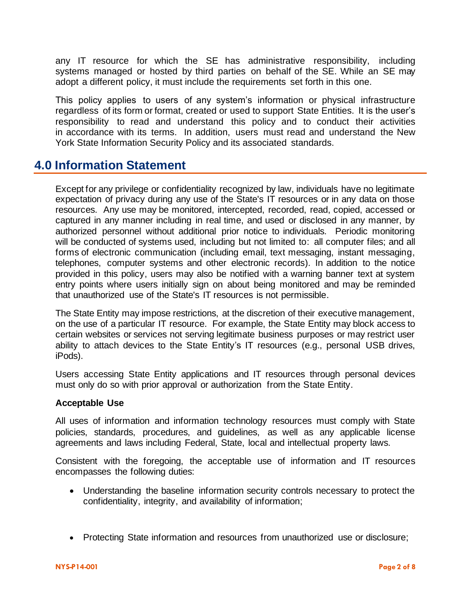any IT resource for which the SE has administrative responsibility, including systems managed or hosted by third parties on behalf of the SE. While an SE may adopt a different policy, it must include the requirements set forth in this one.

This policy applies to users of any system's information or physical infrastructure regardless of its form or format, created or used to support State Entities. It is the user's responsibility to read and understand this policy and to conduct their activities in accordance with its terms. In addition, users must read and understand the New York State Information Security Policy and its associated standards.

# **4.0 Information Statement**

Except for any privilege or confidentiality recognized by law, individuals have no legitimate expectation of privacy during any use of the State's IT resources or in any data on those resources. Any use may be monitored, intercepted, recorded, read, copied, accessed or captured in any manner including in real time, and used or disclosed in any manner, by authorized personnel without additional prior notice to individuals. Periodic monitoring will be conducted of systems used, including but not limited to: all computer files; and all forms of electronic communication (including email, text messaging, instant messaging, telephones, computer systems and other electronic records). In addition to the notice provided in this policy, users may also be notified with a warning banner text at system entry points where users initially sign on about being monitored and may be reminded that unauthorized use of the State's IT resources is not permissible.

The State Entity may impose restrictions, at the discretion of their executive management, on the use of a particular IT resource. For example, the State Entity may block access to certain websites or services not serving legitimate business purposes or may restrict user ability to attach devices to the State Entity's IT resources (e.g., personal USB drives, iPods).

Users accessing State Entity applications and IT resources through personal devices must only do so with prior approval or authorization from the State Entity.

#### **Acceptable Use**

All uses of information and information technology resources must comply with State policies, standards, procedures, and guidelines, as well as any applicable license agreements and laws including Federal, State, local and intellectual property laws.

Consistent with the foregoing, the acceptable use of information and IT resources encompasses the following duties:

- Understanding the baseline information security controls necessary to protect the confidentiality, integrity, and availability of information;
- Protecting State information and resources from unauthorized use or disclosure;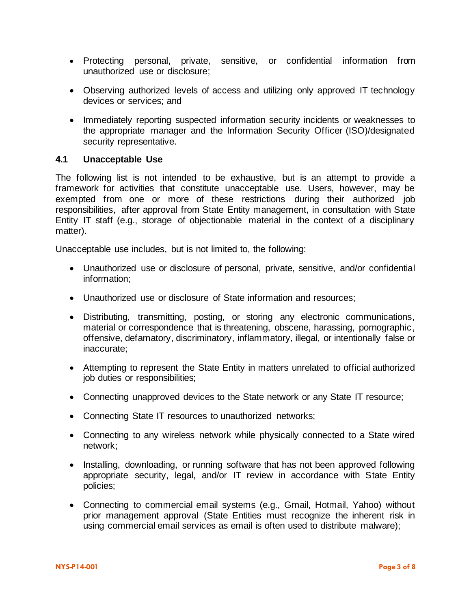- Protecting personal, private, sensitive, or confidential information from unauthorized use or disclosure;
- Observing authorized levels of access and utilizing only approved IT technology devices or services; and
- Immediately reporting suspected information security incidents or weaknesses to the appropriate manager and the Information Security Officer (ISO)/designated security representative.

#### **4.1 Unacceptable Use**

The following list is not intended to be exhaustive, but is an attempt to provide a framework for activities that constitute unacceptable use. Users, however, may be exempted from one or more of these restrictions during their authorized job responsibilities, after approval from State Entity management, in consultation with State Entity IT staff (e.g., storage of objectionable material in the context of a disciplinary matter).

Unacceptable use includes, but is not limited to, the following:

- Unauthorized use or disclosure of personal, private, sensitive, and/or confidential information;
- Unauthorized use or disclosure of State information and resources;
- Distributing, transmitting, posting, or storing any electronic communications, material or correspondence that is threatening, obscene, harassing, pornographic, offensive, defamatory, discriminatory, inflammatory, illegal, or intentionally false or inaccurate;
- Attempting to represent the State Entity in matters unrelated to official authorized job duties or responsibilities;
- Connecting unapproved devices to the State network or any State IT resource;
- Connecting State IT resources to unauthorized networks;
- Connecting to any wireless network while physically connected to a State wired network;
- Installing, downloading, or running software that has not been approved following appropriate security, legal, and/or IT review in accordance with State Entity policies;
- Connecting to commercial email systems (e.g., Gmail, Hotmail, Yahoo) without prior management approval (State Entities must recognize the inherent risk in using commercial email services as email is often used to distribute malware);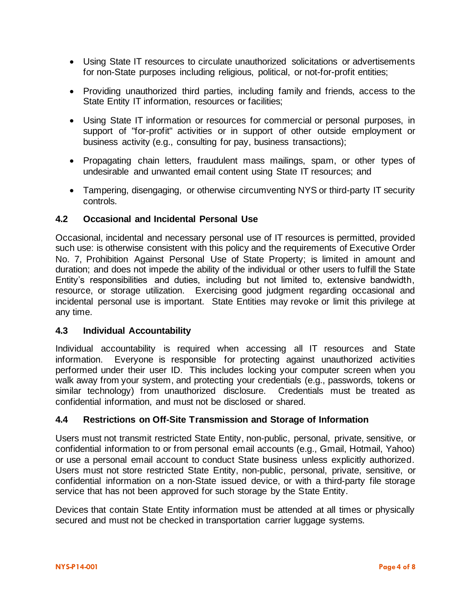- Using State IT resources to circulate unauthorized solicitations or advertisements for non-State purposes including religious, political, or not-for-profit entities;
- Providing unauthorized third parties, including family and friends, access to the State Entity IT information, resources or facilities;
- Using State IT information or resources for commercial or personal purposes, in support of "for-profit" activities or in support of other outside employment or business activity (e.g., consulting for pay, business transactions);
- Propagating chain letters, fraudulent mass mailings, spam, or other types of undesirable and unwanted email content using State IT resources; and
- Tampering, disengaging, or otherwise circumventing NYS or third-party IT security controls.

### **4.2 Occasional and Incidental Personal Use**

Occasional, incidental and necessary personal use of IT resources is permitted, provided such use: is otherwise consistent with this policy and the requirements of Executive Order No. 7, Prohibition Against Personal Use of State Property; is limited in amount and duration; and does not impede the ability of the individual or other users to fulfill the State Entity's responsibilities and duties, including but not limited to, extensive bandwidth, resource, or storage utilization. Exercising good judgment regarding occasional and incidental personal use is important. State Entities may revoke or limit this privilege at any time.

### **4.3 Individual Accountability**

Individual accountability is required when accessing all IT resources and State information. Everyone is responsible for protecting against unauthorized activities performed under their user ID. This includes locking your computer screen when you walk away from your system, and protecting your credentials (e.g., passwords, tokens or similar technology) from unauthorized disclosure. Credentials must be treated as confidential information, and must not be disclosed or shared.

### **4.4 Restrictions on Off-Site Transmission and Storage of Information**

Users must not transmit restricted State Entity, non-public, personal, private, sensitive, or confidential information to or from personal email accounts (e.g., Gmail, Hotmail, Yahoo) or use a personal email account to conduct State business unless explicitly authorized. Users must not store restricted State Entity, non-public, personal, private, sensitive, or confidential information on a non-State issued device, or with a third-party file storage service that has not been approved for such storage by the State Entity.

Devices that contain State Entity information must be attended at all times or physically secured and must not be checked in transportation carrier luggage systems.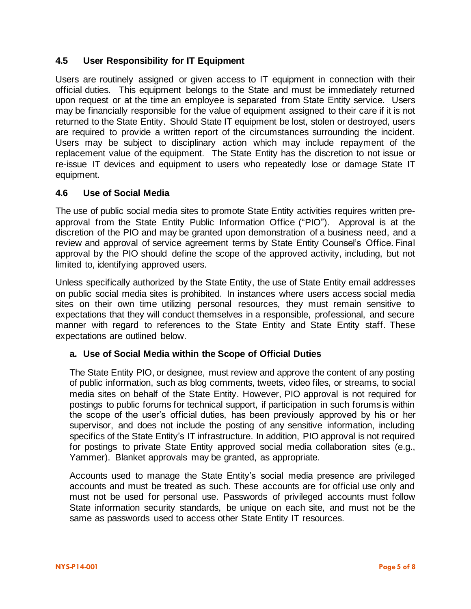### **4.5 User Responsibility for IT Equipment**

Users are routinely assigned or given access to IT equipment in connection with their official duties. This equipment belongs to the State and must be immediately returned upon request or at the time an employee is separated from State Entity service. Users may be financially responsible for the value of equipment assigned to their care if it is not returned to the State Entity. Should State IT equipment be lost, stolen or destroyed, users are required to provide a written report of the circumstances surrounding the incident. Users may be subject to disciplinary action which may include repayment of the replacement value of the equipment. The State Entity has the discretion to not issue or re-issue IT devices and equipment to users who repeatedly lose or damage State IT equipment.

#### **4.6 Use of Social Media**

The use of public social media sites to promote State Entity activities requires written preapproval from the State Entity Public Information Office ("PIO"). Approval is at the discretion of the PIO and may be granted upon demonstration of a business need, and a review and approval of service agreement terms by State Entity Counsel's Office. Final approval by the PIO should define the scope of the approved activity, including, but not limited to, identifying approved users.

Unless specifically authorized by the State Entity, the use of State Entity email addresses on public social media sites is prohibited. In instances where users access social media sites on their own time utilizing personal resources, they must remain sensitive to expectations that they will conduct themselves in a responsible, professional, and secure manner with regard to references to the State Entity and State Entity staff. These expectations are outlined below.

#### **a. Use of Social Media within the Scope of Official Duties**

The State Entity PIO, or designee, must review and approve the content of any posting of public information, such as blog comments, tweets, video files, or streams, to social media sites on behalf of the State Entity. However, PIO approval is not required for postings to public forums for technical support, if participation in such forums is within the scope of the user's official duties, has been previously approved by his or her supervisor, and does not include the posting of any sensitive information, including specifics of the State Entity's IT infrastructure. In addition, PIO approval is not required for postings to private State Entity approved social media collaboration sites (e.g., Yammer). Blanket approvals may be granted, as appropriate.

Accounts used to manage the State Entity's social media presence are privileged accounts and must be treated as such. These accounts are for official use only and must not be used for personal use. Passwords of privileged accounts must follow State information security standards, be unique on each site, and must not be the same as passwords used to access other State Entity IT resources.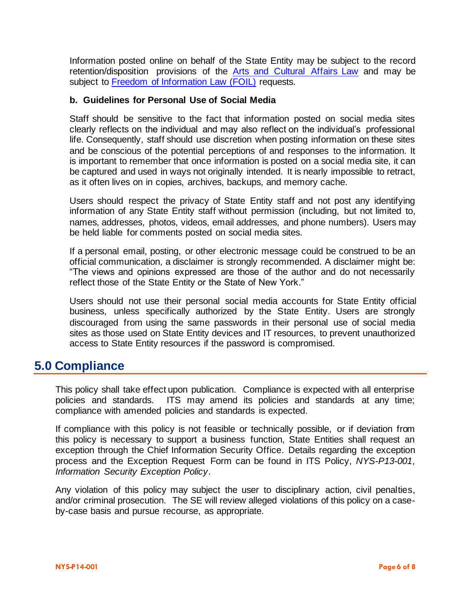Information posted online on behalf of the State Entity may be subject to the record retention/disposition provisions of the [Arts and Cultural Affairs Law](http://www.archives.nysed.gov/records/mr_laws_acal5705.shtml) and may be subject to [Freedom of Information Law \(FOIL\)](http://www.dos.ny.gov/coog/foil2.html) requests.

#### **b. Guidelines for Personal Use of Social Media**

Staff should be sensitive to the fact that information posted on social media sites clearly reflects on the individual and may also reflect on the individual's professional life. Consequently, staff should use discretion when posting information on these sites and be conscious of the potential perceptions of and responses to the information. It is important to remember that once information is posted on a social media site, it can be captured and used in ways not originally intended. It is nearly impossible to retract, as it often lives on in copies, archives, backups, and memory cache.

Users should respect the privacy of State Entity staff and not post any identifying information of any State Entity staff without permission (including, but not limited to, names, addresses, photos, videos, email addresses, and phone numbers). Users may be held liable for comments posted on social media sites.

If a personal email, posting, or other electronic message could be construed to be an official communication, a disclaimer is strongly recommended. A disclaimer might be: "The views and opinions expressed are those of the author and do not necessarily reflect those of the State Entity or the State of New York."

Users should not use their personal social media accounts for State Entity official business, unless specifically authorized by the State Entity. Users are strongly discouraged from using the same passwords in their personal use of social media sites as those used on State Entity devices and IT resources, to prevent unauthorized access to State Entity resources if the password is compromised.

### **5.0 Compliance**

This policy shall take effect upon publication. Compliance is expected with all enterprise policies and standards. ITS may amend its policies and standards at any time; compliance with amended policies and standards is expected.

If compliance with this policy is not feasible or technically possible, or if deviation from this policy is necessary to support a business function, State Entities shall request an exception through the Chief Information Security Office. Details regarding the exception process and the Exception Request Form can be found in ITS Policy, *[NYS-P13-001,](https://its.ny.gov/sites/default/files/documents/nys-p13-001_information_security_exception_policy_0.pdf) [Information Security Exception Policy](https://its.ny.gov/sites/default/files/documents/nys-p13-001_information_security_exception_policy_0.pdf)*.

Any violation of this policy may subject the user to disciplinary action, civil penalties, and/or criminal prosecution. The SE will review alleged violations of this policy on a caseby-case basis and pursue recourse, as appropriate.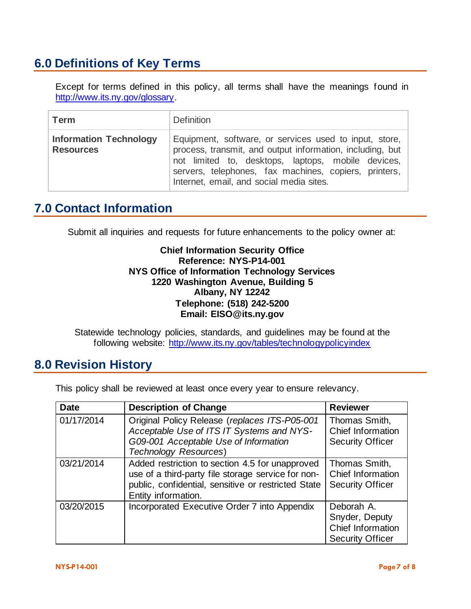# **6.0 Definitions of Key Terms**

Except for terms defined in this policy, all terms shall have the meanings found in [http://www.its.ny.gov/glossary.](http://www.its.ny.gov/glossary)

| <b>Term</b>                                       | <b>Definition</b>                                                                                                                                                                                                                                                              |
|---------------------------------------------------|--------------------------------------------------------------------------------------------------------------------------------------------------------------------------------------------------------------------------------------------------------------------------------|
| <b>Information Technology</b><br><b>Resources</b> | Equipment, software, or services used to input, store,<br>process, transmit, and output information, including, but<br>not limited to, desktops, laptops, mobile devices,<br>servers, telephones, fax machines, copiers, printers,<br>Internet, email, and social media sites. |

# **7.0 Contact Information**

Submit all inquiries and requests for future enhancements to the policy owner at:

#### **Chief Information Security Office Reference: NYS-P14-001 NYS Office of Information Technology Services 1220 Washington Avenue, Building 5 Albany, NY 12242 Telephone: (518) 242-5200 Email: EISO@its.ny.gov**

Statewide technology policies, standards, and guidelines may be found at the following website: <http://www.its.ny.gov/tables/technologypolicyindex>

# **8.0 Revision History**

This policy shall be reviewed at least once every year to ensure relevancy.

| <b>Date</b> | <b>Description of Change</b>                                                                                                                                                        | <b>Reviewer</b>                                                              |
|-------------|-------------------------------------------------------------------------------------------------------------------------------------------------------------------------------------|------------------------------------------------------------------------------|
| 01/17/2014  | Original Policy Release (replaces ITS-P05-001<br>Acceptable Use of ITS IT Systems and NYS-<br>G09-001 Acceptable Use of Information<br><b>Technology Resources)</b>                 | Thomas Smith,<br>Chief Information<br><b>Security Officer</b>                |
| 03/21/2014  | Added restriction to section 4.5 for unapproved<br>use of a third-party file storage service for non-<br>public, confidential, sensitive or restricted State<br>Entity information. | Thomas Smith,<br>Chief Information<br><b>Security Officer</b>                |
| 03/20/2015  | Incorporated Executive Order 7 into Appendix                                                                                                                                        | Deborah A.<br>Snyder, Deputy<br>Chief Information<br><b>Security Officer</b> |